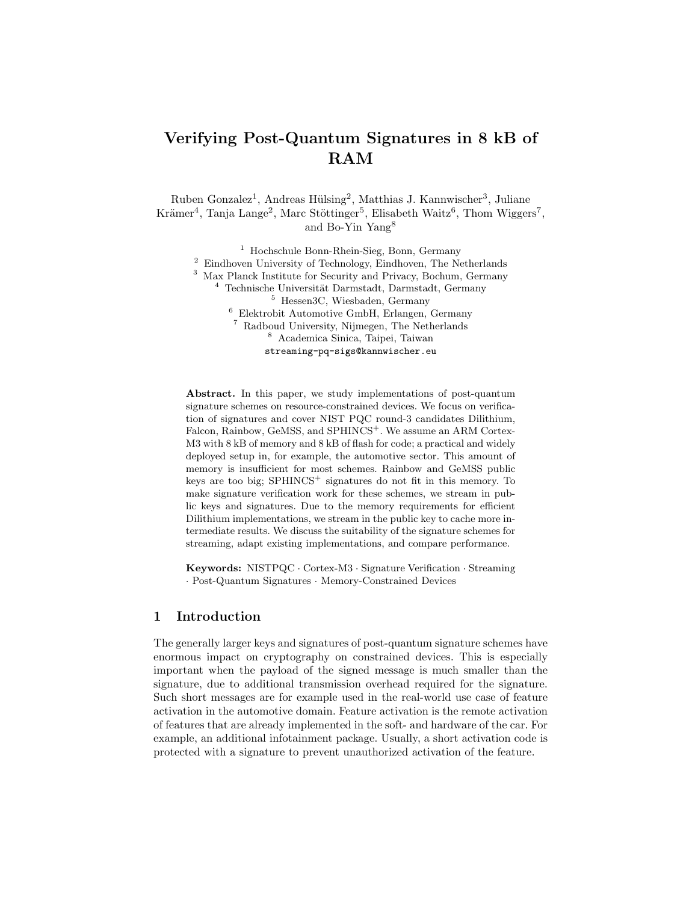# Verifying Post-Quantum Signatures in 8 kB of RAM

Ruben Gonzalez<sup>1</sup>, Andreas Hülsing<sup>2</sup>, Matthias J. Kannwischer<sup>3</sup>, Juliane Krämer<sup>4</sup>, Tanja Lange<sup>2</sup>, Marc Stöttinger<sup>5</sup>, Elisabeth Waitz<sup>6</sup>, Thom Wiggers<sup>7</sup>, and Bo-Yin Yang<sup>8</sup>

<sup>1</sup> Hochschule Bonn-Rhein-Sieg, Bonn, Germany Eindhoven University of Technology, Eindhoven, The Netherlands Max Planck Institute for Security and Privacy, Bochum, Germany Technische Universität Darmstadt, Darmstadt, Germany Hessen3C, Wiesbaden, Germany Elektrobit Automotive GmbH, Erlangen, Germany Radboud University, Nijmegen, The Netherlands Academica Sinica, Taipei, Taiwan streaming-pq-sigs@kannwischer.eu

Abstract. In this paper, we study implementations of post-quantum signature schemes on resource-constrained devices. We focus on verification of signatures and cover NIST PQC round-3 candidates Dilithium, Falcon, Rainbow, GeMSS, and SPHINCS<sup>+</sup>. We assume an ARM Cortex-M3 with 8 kB of memory and 8 kB of flash for code; a practical and widely deployed setup in, for example, the automotive sector. This amount of memory is insufficient for most schemes. Rainbow and GeMSS public keys are too big;  $SPHINCS^+$  signatures do not fit in this memory. To make signature verification work for these schemes, we stream in public keys and signatures. Due to the memory requirements for efficient Dilithium implementations, we stream in the public key to cache more intermediate results. We discuss the suitability of the signature schemes for streaming, adapt existing implementations, and compare performance.

Keywords: NISTPQC · Cortex-M3 · Signature Verification · Streaming · Post-Quantum Signatures · Memory-Constrained Devices

## <span id="page-0-0"></span>1 Introduction

The generally larger keys and signatures of post-quantum signature schemes have enormous impact on cryptography on constrained devices. This is especially important when the payload of the signed message is much smaller than the signature, due to additional transmission overhead required for the signature. Such short messages are for example used in the real-world use case of feature activation in the automotive domain. Feature activation is the remote activation of features that are already implemented in the soft- and hardware of the car. For example, an additional infotainment package. Usually, a short activation code is protected with a signature to prevent unauthorized activation of the feature.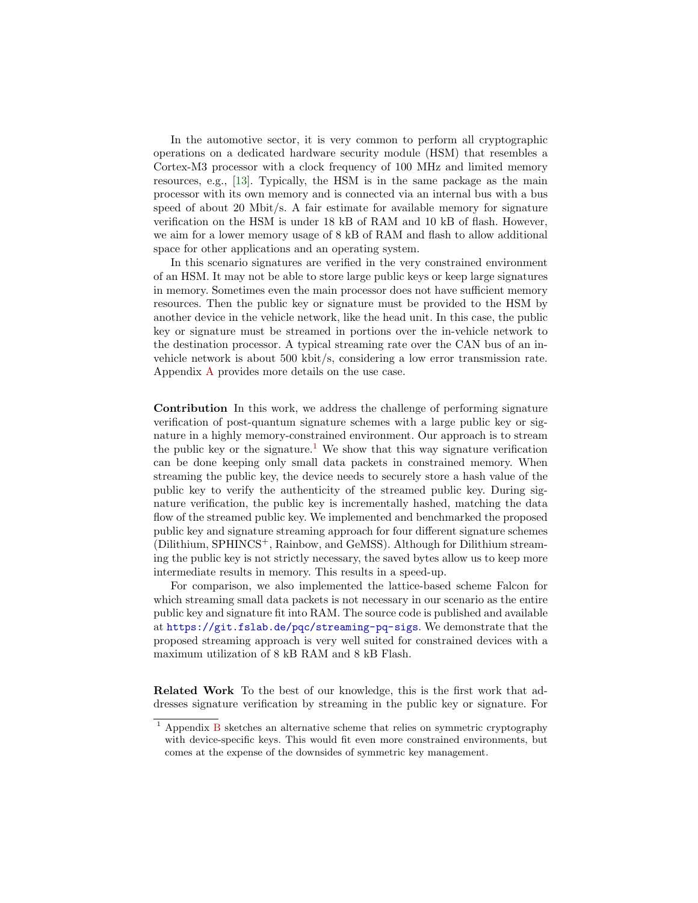In the automotive sector, it is very common to perform all cryptographic operations on a dedicated hardware security module (HSM) that resembles a Cortex-M3 processor with a clock frequency of 100 MHz and limited memory resources, e.g., [\[13\]](#page-13-0). Typically, the HSM is in the same package as the main processor with its own memory and is connected via an internal bus with a bus speed of about 20 Mbit/s. A fair estimate for available memory for signature verification on the HSM is under 18 kB of RAM and 10 kB of flash. However, we aim for a lower memory usage of 8 kB of RAM and flash to allow additional space for other applications and an operating system.

In this scenario signatures are verified in the very constrained environment of an HSM. It may not be able to store large public keys or keep large signatures in memory. Sometimes even the main processor does not have sufficient memory resources. Then the public key or signature must be provided to the HSM by another device in the vehicle network, like the head unit. In this case, the public key or signature must be streamed in portions over the in-vehicle network to the destination processor. A typical streaming rate over the CAN bus of an invehicle network is about 500 kbit/s, considering a low error transmission rate. Appendix [A](#page-14-0) provides more details on the use case.

Contribution In this work, we address the challenge of performing signature verification of post-quantum signature schemes with a large public key or signature in a highly memory-constrained environment. Our approach is to stream the public key or the signature.<sup>[1](#page-1-0)</sup> We show that this way signature verification can be done keeping only small data packets in constrained memory. When streaming the public key, the device needs to securely store a hash value of the public key to verify the authenticity of the streamed public key. During signature verification, the public key is incrementally hashed, matching the data flow of the streamed public key. We implemented and benchmarked the proposed public key and signature streaming approach for four different signature schemes (Dilithium, SPHINCS+, Rainbow, and GeMSS). Although for Dilithium streaming the public key is not strictly necessary, the saved bytes allow us to keep more intermediate results in memory. This results in a speed-up.

For comparison, we also implemented the lattice-based scheme Falcon for which streaming small data packets is not necessary in our scenario as the entire public key and signature fit into RAM. The source code is published and available at <https://git.fslab.de/pqc/streaming-pq-sigs>. We demonstrate that the proposed streaming approach is very well suited for constrained devices with a maximum utilization of 8 kB RAM and 8 kB Flash.

Related Work To the best of our knowledge, this is the first work that addresses signature verification by streaming in the public key or signature. For

<span id="page-1-0"></span><sup>1</sup> Appendix [B](#page-15-0) sketches an alternative scheme that relies on symmetric cryptography with device-specific keys. This would fit even more constrained environments, but comes at the expense of the downsides of symmetric key management.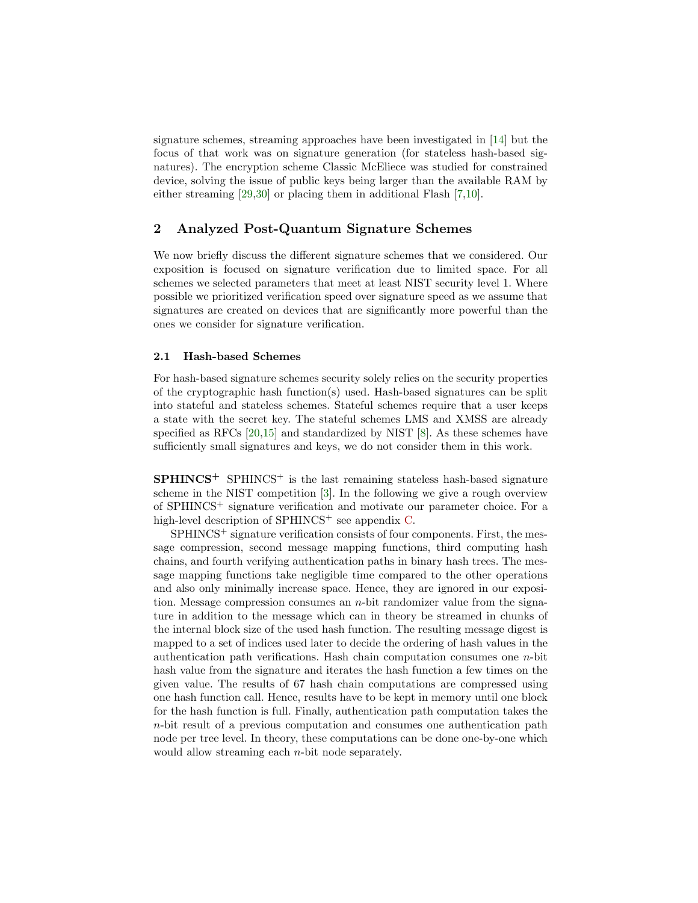signature schemes, streaming approaches have been investigated in [\[14\]](#page-13-1) but the focus of that work was on signature generation (for stateless hash-based signatures). The encryption scheme Classic McEliece was studied for constrained device, solving the issue of public keys being larger than the available RAM by either streaming [\[29,](#page-14-1)[30\]](#page-14-2) or placing them in additional Flash [\[7,](#page-12-0)[10\]](#page-13-2).

## 2 Analyzed Post-Quantum Signature Schemes

We now briefly discuss the different signature schemes that we considered. Our exposition is focused on signature verification due to limited space. For all schemes we selected parameters that meet at least NIST security level 1. Where possible we prioritized verification speed over signature speed as we assume that signatures are created on devices that are significantly more powerful than the ones we consider for signature verification.

#### 2.1 Hash-based Schemes

For hash-based signature schemes security solely relies on the security properties of the cryptographic hash function(s) used. Hash-based signatures can be split into stateful and stateless schemes. Stateful schemes require that a user keeps a state with the secret key. The stateful schemes LMS and XMSS are already specified as RFCs [\[20,](#page-13-3)[15\]](#page-13-4) and standardized by NIST [\[8\]](#page-13-5). As these schemes have sufficiently small signatures and keys, we do not consider them in this work.

 $SPHINCS^+$  SPHINCS<sup>+</sup> is the last remaining stateless hash-based signature scheme in the NIST competition [\[3\]](#page-12-1). In the following we give a rough overview of SPHINCS<sup>+</sup> signature verification and motivate our parameter choice. For a high-level description of  $SPHINCS^+$  see appendix [C.](#page-16-0)

 $SPHINCS<sup>+</sup>$  signature verification consists of four components. First, the message compression, second message mapping functions, third computing hash chains, and fourth verifying authentication paths in binary hash trees. The message mapping functions take negligible time compared to the other operations and also only minimally increase space. Hence, they are ignored in our exposition. Message compression consumes an  $n$ -bit randomizer value from the signature in addition to the message which can in theory be streamed in chunks of the internal block size of the used hash function. The resulting message digest is mapped to a set of indices used later to decide the ordering of hash values in the authentication path verifications. Hash chain computation consumes one  $n$ -bit hash value from the signature and iterates the hash function a few times on the given value. The results of 67 hash chain computations are compressed using one hash function call. Hence, results have to be kept in memory until one block for the hash function is full. Finally, authentication path computation takes the n-bit result of a previous computation and consumes one authentication path node per tree level. In theory, these computations can be done one-by-one which would allow streaming each n-bit node separately.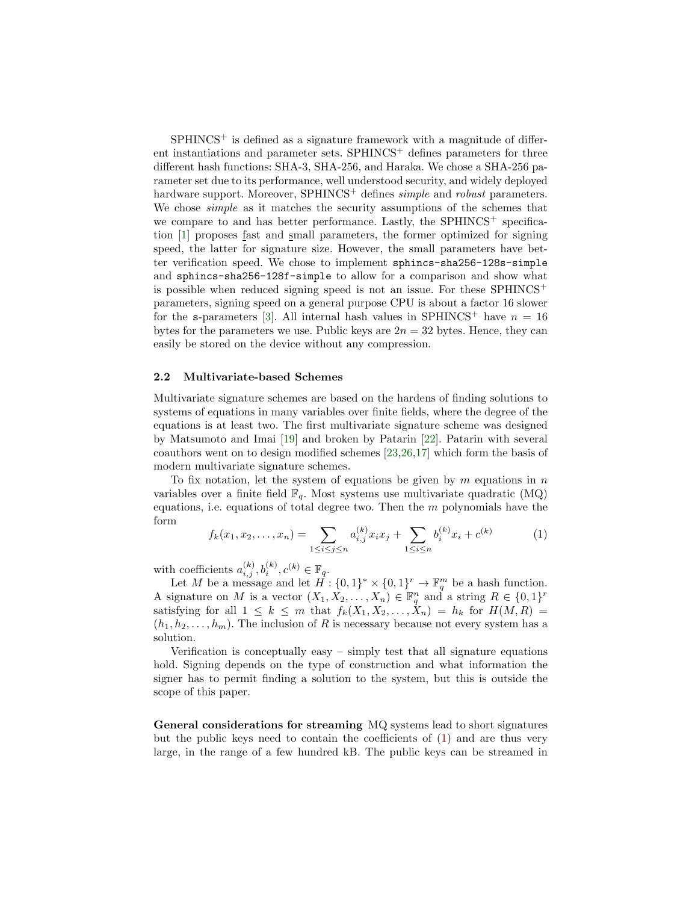$SPHINCS<sup>+</sup>$  is defined as a signature framework with a magnitude of different instantiations and parameter sets. SPHINCS<sup>+</sup> defines parameters for three different hash functions: SHA-3, SHA-256, and Haraka. We chose a SHA-256 parameter set due to its performance, well understood security, and widely deployed hardware support. Moreover, SPHINCS<sup>+</sup> defines *simple* and *robust* parameters. We chose simple as it matches the security assumptions of the schemes that we compare to and has better performance. Lastly, the SPHINCS<sup>+</sup> specification [\[1\]](#page-12-2) proposes fast and small parameters, the former optimized for signing speed, the latter for signature size. However, the small parameters have better verification speed. We chose to implement sphincs-sha256-128s-simple and sphincs-sha256-128f-simple to allow for a comparison and show what is possible when reduced signing speed is not an issue. For these  $SPHINCS^+$ parameters, signing speed on a general purpose CPU is about a factor 16 slower for the s-parameters [\[3\]](#page-12-1). All internal hash values in SPHINCS<sup>+</sup> have  $n = 16$ bytes for the parameters we use. Public keys are  $2n = 32$  bytes. Hence, they can easily be stored on the device without any compression.

#### 2.2 Multivariate-based Schemes

Multivariate signature schemes are based on the hardens of finding solutions to systems of equations in many variables over finite fields, where the degree of the equations is at least two. The first multivariate signature scheme was designed by Matsumoto and Imai [\[19\]](#page-13-6) and broken by Patarin [\[22\]](#page-13-7). Patarin with several coauthors went on to design modified schemes [\[23,](#page-13-8)[26,](#page-14-3)[17\]](#page-13-9) which form the basis of modern multivariate signature schemes.

To fix notation, let the system of equations be given by  $m$  equations in  $n$ variables over a finite field  $\mathbb{F}_q$ . Most systems use multivariate quadratic (MQ) equations, i.e. equations of total degree two. Then the  $m$  polynomials have the form

<span id="page-3-0"></span>
$$
f_k(x_1, x_2, \dots, x_n) = \sum_{1 \le i \le j \le n} a_{i,j}^{(k)} x_i x_j + \sum_{1 \le i \le n} b_i^{(k)} x_i + c^{(k)} \tag{1}
$$

with coefficients  $a_{i,j}^{(k)}, b_i^{(k)}, c^{(k)} \in \mathbb{F}_q$ .

Let M be a message and let  $H: \{0,1\}^* \times \{0,1\}^r \to \mathbb{F}_q^m$  be a hash function. A signature on M is a vector  $(X_1, X_2, \ldots, X_n) \in \mathbb{F}_q^n$  and a string  $R \in \{0,1\}^r$ satisfying for all  $1 \leq k \leq m$  that  $f_k(X_1, X_2, \ldots, X_n) = h_k$  for  $H(M, R) =$  $(h_1, h_2, \ldots, h_m)$ . The inclusion of R is necessary because not every system has a solution.

Verification is conceptually easy – simply test that all signature equations hold. Signing depends on the type of construction and what information the signer has to permit finding a solution to the system, but this is outside the scope of this paper.

General considerations for streaming MQ systems lead to short signatures but the public keys need to contain the coefficients of [\(1\)](#page-3-0) and are thus very large, in the range of a few hundred kB. The public keys can be streamed in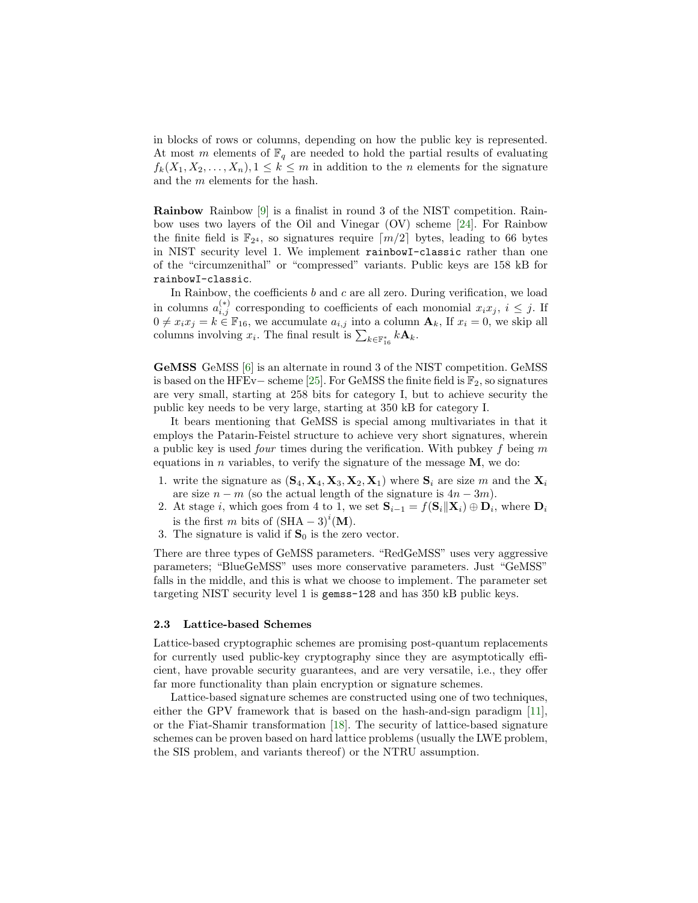in blocks of rows or columns, depending on how the public key is represented. At most m elements of  $\mathbb{F}_q$  are needed to hold the partial results of evaluating  $f_k(X_1, X_2, \ldots, X_n), 1 \leq k \leq m$  in addition to the n elements for the signature and the m elements for the hash.

Rainbow Rainbow [\[9\]](#page-13-10) is a finalist in round 3 of the NIST competition. Rainbow uses two layers of the Oil and Vinegar (OV) scheme [\[24\]](#page-14-4). For Rainbow the finite field is  $\mathbb{F}_{2^4}$ , so signatures require  $\lceil m/2 \rceil$  bytes, leading to 66 bytes in NIST security level 1. We implement rainbowI-classic rather than one of the "circumzenithal" or "compressed" variants. Public keys are 158 kB for rainbowI-classic.

In Rainbow, the coefficients  $b$  and  $c$  are all zero. During verification, we load in columns  $a_{i,j}^{(*)}$  corresponding to coefficients of each monomial  $x_ix_j, i \leq j$ . If  $0 \neq x_i x_j = k \in \mathbb{F}_{16}$ , we accumulate  $a_{i,j}$  into a column  $\mathbf{A}_k$ , If  $x_i = 0$ , we skip all columns involving  $x_i$ . The final result is  $\sum_{k \in \mathbb{F}_{16}^*} k \mathbf{A}_k$ .

GeMSS GeMSS [\[6\]](#page-12-3) is an alternate in round 3 of the NIST competition. GeMSS is based on the HFEv– scheme [\[25\]](#page-14-5). For GeMSS the finite field is  $\mathbb{F}_2$ , so signatures are very small, starting at 258 bits for category I, but to achieve security the public key needs to be very large, starting at 350 kB for category I.

It bears mentioning that GeMSS is special among multivariates in that it employs the Patarin-Feistel structure to achieve very short signatures, wherein a public key is used *four* times during the verification. With pubkey  $f$  being  $m$ equations in *n* variables, to verify the signature of the message  $M$ , we do:

- 1. write the signature as  $({\bf S}_4, {\bf X}_4, {\bf X}_3, {\bf X}_2, {\bf X}_1)$  where  ${\bf S}_i$  are size m and the  ${\bf X}_i$ are size  $n - m$  (so the actual length of the signature is  $4n - 3m$ ).
- 2. At stage *i*, which goes from 4 to 1, we set  $\mathbf{S}_{i-1} = f(\mathbf{S}_i || \mathbf{X}_i) \oplus \mathbf{D}_i$ , where  $\mathbf{D}_i$ is the first m bits of  $(SHA - 3)^{i}$  (M).
- 3. The signature is valid if  $S_0$  is the zero vector.

There are three types of GeMSS parameters. "RedGeMSS" uses very aggressive parameters; "BlueGeMSS" uses more conservative parameters. Just "GeMSS" falls in the middle, and this is what we choose to implement. The parameter set targeting NIST security level 1 is gemss-128 and has 350 kB public keys.

#### 2.3 Lattice-based Schemes

Lattice-based cryptographic schemes are promising post-quantum replacements for currently used public-key cryptography since they are asymptotically efficient, have provable security guarantees, and are very versatile, i.e., they offer far more functionality than plain encryption or signature schemes.

Lattice-based signature schemes are constructed using one of two techniques, either the GPV framework that is based on the hash-and-sign paradigm [\[11\]](#page-13-11), or the Fiat-Shamir transformation [\[18\]](#page-13-12). The security of lattice-based signature schemes can be proven based on hard lattice problems (usually the LWE problem, the SIS problem, and variants thereof) or the NTRU assumption.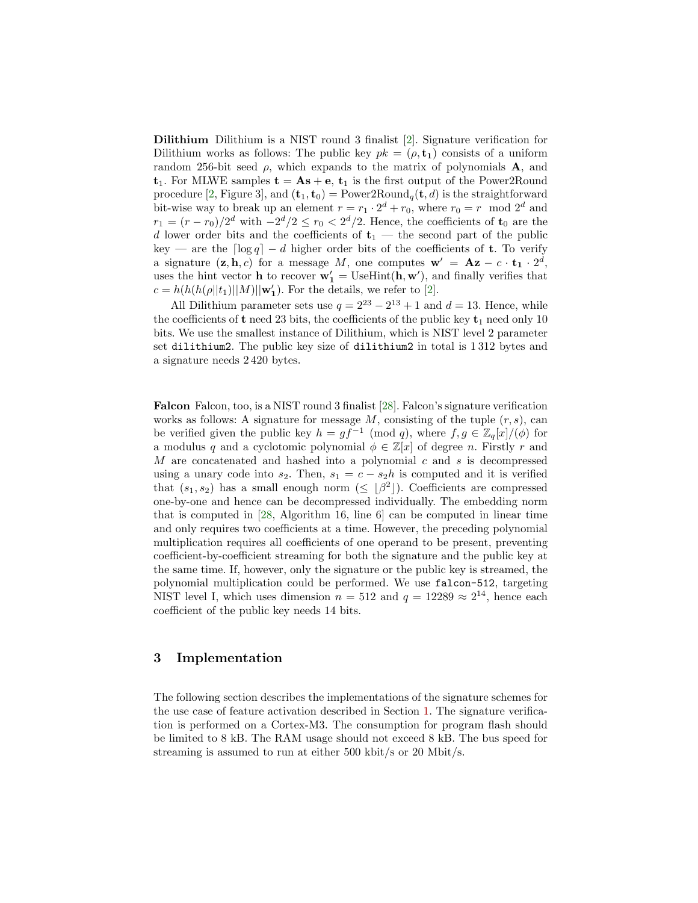Dilithium Dilithium is a NIST round 3 finalist [\[2\]](#page-12-4). Signature verification for Dilithium works as follows: The public key  $pk = (\rho, t_1)$  consists of a uniform random 256-bit seed  $\rho$ , which expands to the matrix of polynomials **A**, and  $t_1$ . For MLWE samples  $t = As + e$ ,  $t_1$  is the first output of the Power2Round procedure [\[2,](#page-12-4) Figure 3], and  $(\mathbf{t}_1, \mathbf{t}_0) = \text{Power2Round}_q(\mathbf{t}, d)$  is the straightforward bit-wise way to break up an element  $r = r_1 \cdot 2^d + r_0$ , where  $r_0 = r \mod 2^d$  and  $r_1 = (r - r_0)/2^d$  with  $-2^d/2 \le r_0 < 2^d/2$ . Hence, the coefficients of  $\mathbf{t}_0$  are the d lower order bits and the coefficients of  $t_1$  — the second part of the public key — are the  $\lceil \log q \rceil - d$  higher order bits of the coefficients of **t**. To verify a signature  $(\mathbf{z}, \mathbf{h}, c)$  for a message M, one computes  $\mathbf{w}' = \mathbf{A}\mathbf{z} - c \cdot \mathbf{t}_1 \cdot 2^d$ , uses the hint vector **h** to recover  $\mathbf{w}'_1 = \text{UseHint}(\mathbf{h}, \mathbf{w}')$ , and finally verifies that  $c = h(h(h(\rho||t_1)||M)||\mathbf{w}'_1)$ . For the details, we refer to [\[2\]](#page-12-4).

All Dilithium parameter sets use  $q = 2^{23} - 2^{13} + 1$  and  $d = 13$ . Hence, while the coefficients of  $t$  need 23 bits, the coefficients of the public key  $t_1$  need only 10 bits. We use the smallest instance of Dilithium, which is NIST level 2 parameter set dilithium2. The public key size of dilithium2 in total is 1 312 bytes and a signature needs 2 420 bytes.

Falcon Falcon, too, is a NIST round 3 finalist [\[28\]](#page-14-6). Falcon's signature verification works as follows: A signature for message  $M$ , consisting of the tuple  $(r, s)$ , can be verified given the public key  $h = gf^{-1} \pmod{q}$ , where  $f, g \in \mathbb{Z}_q[x]/(\phi)$  for a modulus q and a cyclotomic polynomial  $\phi \in \mathbb{Z}[x]$  of degree n. Firstly r and M are concatenated and hashed into a polynomial c and s is decompressed using a unary code into  $s_2$ . Then,  $s_1 = c - s_2h$  is computed and it is verified that  $(s_1, s_2)$  has a small enough norm  $(\leq \lfloor \beta^2 \rfloor)$ . Coefficients are compressed one-by-one and hence can be decompressed individually. The embedding norm that is computed in [\[28,](#page-14-6) Algorithm 16, line 6] can be computed in linear time and only requires two coefficients at a time. However, the preceding polynomial multiplication requires all coefficients of one operand to be present, preventing coefficient-by-coefficient streaming for both the signature and the public key at the same time. If, however, only the signature or the public key is streamed, the polynomial multiplication could be performed. We use falcon-512, targeting NIST level I, which uses dimension  $n = 512$  and  $q = 12289 \approx 2^{14}$ , hence each coefficient of the public key needs 14 bits.

## 3 Implementation

The following section describes the implementations of the signature schemes for the use case of feature activation described in Section [1.](#page-0-0) The signature verification is performed on a Cortex-M3. The consumption for program flash should be limited to 8 kB. The RAM usage should not exceed 8 kB. The bus speed for streaming is assumed to run at either 500 kbit/s or 20 Mbit/s.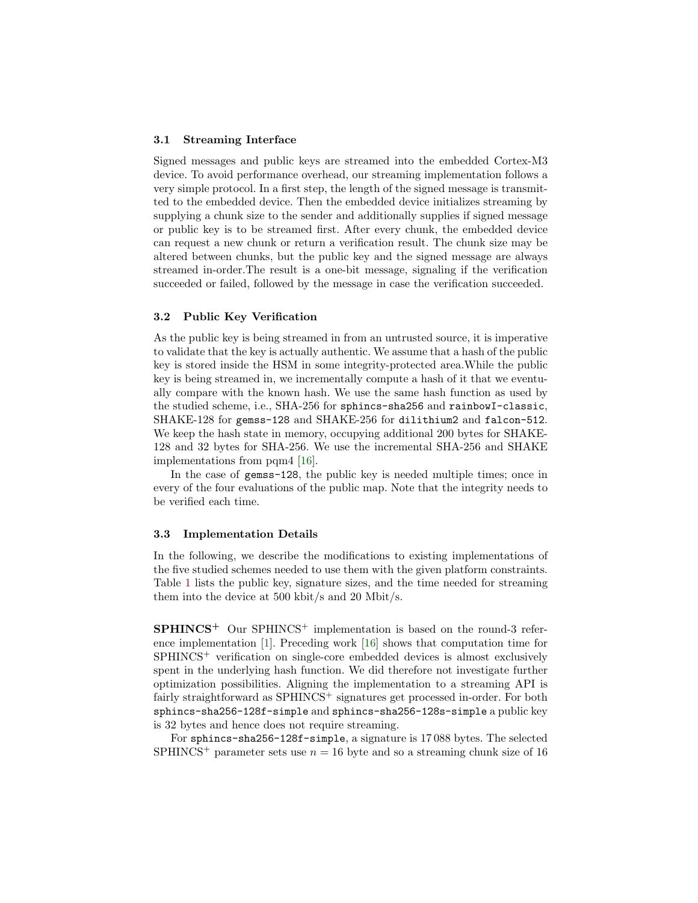#### 3.1 Streaming Interface

Signed messages and public keys are streamed into the embedded Cortex-M3 device. To avoid performance overhead, our streaming implementation follows a very simple protocol. In a first step, the length of the signed message is transmitted to the embedded device. Then the embedded device initializes streaming by supplying a chunk size to the sender and additionally supplies if signed message or public key is to be streamed first. After every chunk, the embedded device can request a new chunk or return a verification result. The chunk size may be altered between chunks, but the public key and the signed message are always streamed in-order.The result is a one-bit message, signaling if the verification succeeded or failed, followed by the message in case the verification succeeded.

#### 3.2 Public Key Verification

As the public key is being streamed in from an untrusted source, it is imperative to validate that the key is actually authentic. We assume that a hash of the public key is stored inside the HSM in some integrity-protected area.While the public key is being streamed in, we incrementally compute a hash of it that we eventually compare with the known hash. We use the same hash function as used by the studied scheme, i.e., SHA-256 for sphincs-sha256 and rainbowI-classic, SHAKE-128 for gemss-128 and SHAKE-256 for dilithium2 and falcon-512. We keep the hash state in memory, occupying additional 200 bytes for SHAKE-128 and 32 bytes for SHA-256. We use the incremental SHA-256 and SHAKE implementations from pqm4 [\[16\]](#page-13-13).

In the case of gemss-128, the public key is needed multiple times; once in every of the four evaluations of the public map. Note that the integrity needs to be verified each time.

#### 3.3 Implementation Details

In the following, we describe the modifications to existing implementations of the five studied schemes needed to use them with the given platform constraints. Table [1](#page-7-0) lists the public key, signature sizes, and the time needed for streaming them into the device at 500 kbit/s and 20 Mbit/s.

 $SPHINCS<sup>+</sup>$  Our SPHINCS<sup>+</sup> implementation is based on the round-3 reference implementation [\[1\]](#page-12-2). Preceding work [\[16\]](#page-13-13) shows that computation time for  $SPHINCS<sup>+</sup>$  verification on single-core embedded devices is almost exclusively spent in the underlying hash function. We did therefore not investigate further optimization possibilities. Aligning the implementation to a streaming API is fairly straightforward as SPHINCS<sup>+</sup> signatures get processed in-order. For both sphincs-sha256-128f-simple and sphincs-sha256-128s-simple a public key is 32 bytes and hence does not require streaming.

For sphincs-sha256-128f-simple, a signature is 17 088 bytes. The selected SPHINCS<sup>+</sup> parameter sets use  $n = 16$  byte and so a streaming chunk size of 16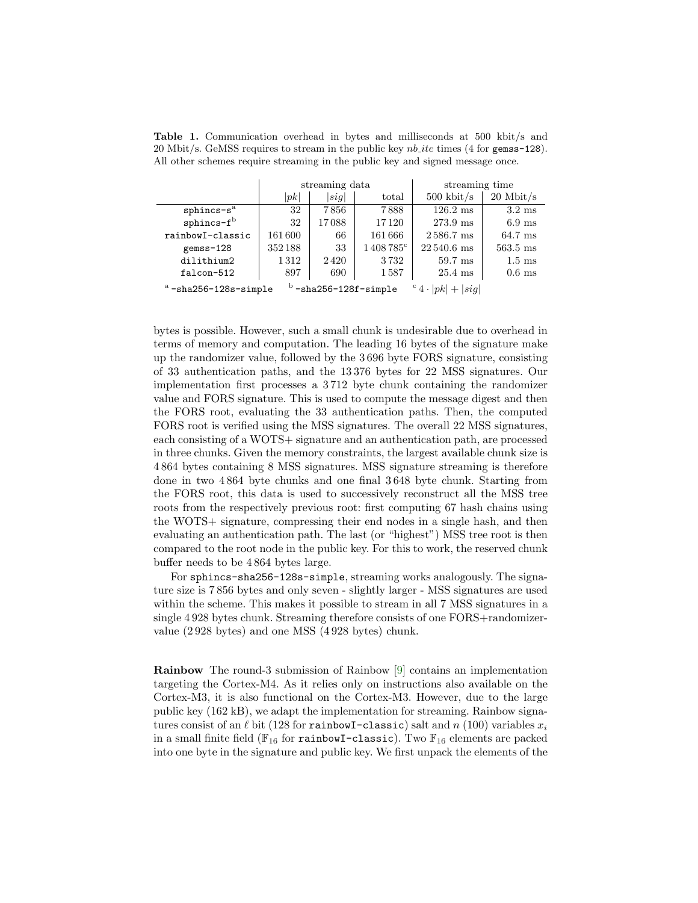|                                                                                | streaming data |       |                   | streaming time         |                   |  |
|--------------------------------------------------------------------------------|----------------|-------|-------------------|------------------------|-------------------|--|
|                                                                                | pk             | sig   | total             | $500 \; \text{kbit/s}$ | $20$ Mbit/s       |  |
| $sphincs-sa$                                                                   | 32             | 7856  | 7888              | $126.2 \text{ ms}$     | $3.2 \text{ ms}$  |  |
| $sphincs-fb$                                                                   | 32             | 17088 | 17120             | 273.9 ms               | $6.9 \text{ ms}$  |  |
| rainbowI-classic                                                               | 161600         | 66    | 161666            | 2586.7 ms              | $64.7 \text{ ms}$ |  |
| gemss-128                                                                      | 352188         | 33    | $1408785^{\circ}$ | $22540.6$ ms           | $563.5$ ms        |  |
| dilithium2                                                                     | 1312           | 2420  | 3732              | $59.7$ ms              | $1.5 \text{ ms}$  |  |
| falcon-512                                                                     | 897            | 690   | 1587              | $25.4 \text{ ms}$      | $0.6$ ms          |  |
| $b$ -sha256-128f-simple<br>$a$ -sha256-128s-simple<br>$c_4 \cdot  pk  +  sig $ |                |       |                   |                        |                   |  |

<span id="page-7-0"></span>Table 1. Communication overhead in bytes and milliseconds at 500 kbit/s and 20 Mbit/s. GeMSS requires to stream in the public key  $nb$ -ite times (4 for gemss-128). All other schemes require streaming in the public key and signed message once.

bytes is possible. However, such a small chunk is undesirable due to overhead in terms of memory and computation. The leading 16 bytes of the signature make up the randomizer value, followed by the 3 696 byte FORS signature, consisting of 33 authentication paths, and the 13 376 bytes for 22 MSS signatures. Our implementation first processes a 3 712 byte chunk containing the randomizer value and FORS signature. This is used to compute the message digest and then the FORS root, evaluating the 33 authentication paths. Then, the computed FORS root is verified using the MSS signatures. The overall 22 MSS signatures, each consisting of a WOTS+ signature and an authentication path, are processed in three chunks. Given the memory constraints, the largest available chunk size is 4 864 bytes containing 8 MSS signatures. MSS signature streaming is therefore done in two 4 864 byte chunks and one final 3 648 byte chunk. Starting from the FORS root, this data is used to successively reconstruct all the MSS tree roots from the respectively previous root: first computing 67 hash chains using the WOTS+ signature, compressing their end nodes in a single hash, and then evaluating an authentication path. The last (or "highest") MSS tree root is then compared to the root node in the public key. For this to work, the reserved chunk buffer needs to be 4 864 bytes large.

For sphincs-sha256-128s-simple, streaming works analogously. The signature size is 7 856 bytes and only seven - slightly larger - MSS signatures are used within the scheme. This makes it possible to stream in all 7 MSS signatures in a single 4 928 bytes chunk. Streaming therefore consists of one FORS+randomizervalue (2 928 bytes) and one MSS (4 928 bytes) chunk.

Rainbow The round-3 submission of Rainbow [\[9\]](#page-13-10) contains an implementation targeting the Cortex-M4. As it relies only on instructions also available on the Cortex-M3, it is also functional on the Cortex-M3. However, due to the large public key (162 kB), we adapt the implementation for streaming. Rainbow signatures consist of an  $\ell$  bit (128 for rainbowI-classic) salt and n (100) variables  $x_i$ in a small finite field ( $\mathbb{F}_{16}$  for rainbowI-classic). Two  $\mathbb{F}_{16}$  elements are packed into one byte in the signature and public key. We first unpack the elements of the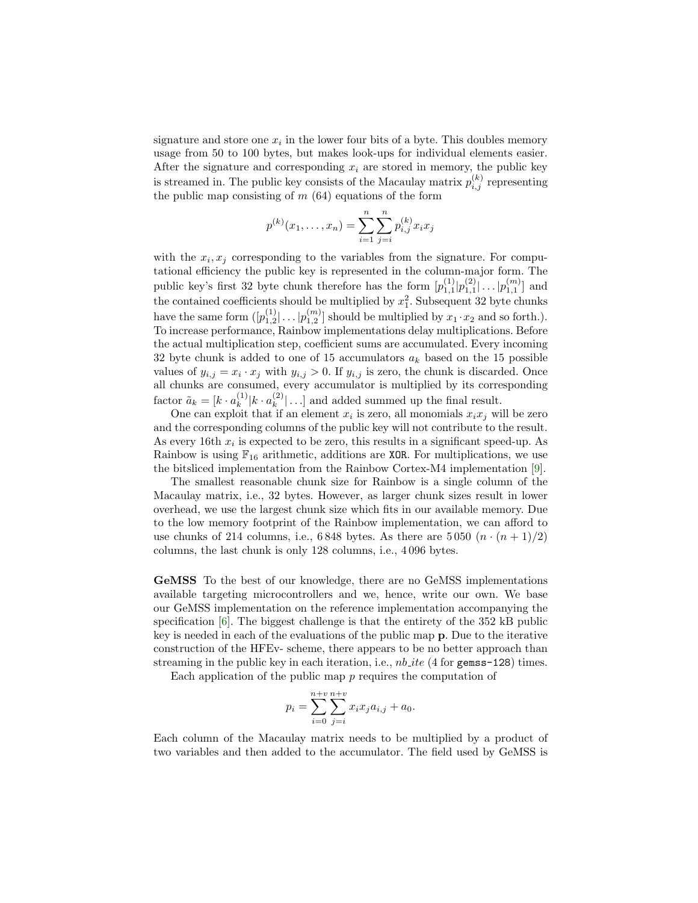signature and store one  $x_i$  in the lower four bits of a byte. This doubles memory usage from 50 to 100 bytes, but makes look-ups for individual elements easier. After the signature and corresponding  $x_i$  are stored in memory, the public key is streamed in. The public key consists of the Macaulay matrix  $p_{i,j}^{(k)}$  representing the public map consisting of  $m(64)$  equations of the form

$$
p^{(k)}(x_1,\ldots,x_n) = \sum_{i=1}^n \sum_{j=i}^n p^{(k)}_{i,j} x_i x_j
$$

with the  $x_i, x_j$  corresponding to the variables from the signature. For computational efficiency the public key is represented in the column-major form. The public key's first 32 byte chunk therefore has the form  $[p_{1,1}^{(1)}|p_{1,1}^{(2)}| \dots | p_{1,1}^{(m)}]$  and the contained coefficients should be multiplied by  $x_1^2$ . Subsequent 32 byte chunks have the same form  $([p_{1,2}^{(1)}] \dots | p_{1,2}^{(m)}]$  should be multiplied by  $x_1 \cdot x_2$  and so forth.). To increase performance, Rainbow implementations delay multiplications. Before the actual multiplication step, coefficient sums are accumulated. Every incoming 32 byte chunk is added to one of 15 accumulators  $a_k$  based on the 15 possible values of  $y_{i,j} = x_i \cdot x_j$  with  $y_{i,j} > 0$ . If  $y_{i,j}$  is zero, the chunk is discarded. Once all chunks are consumed, every accumulator is multiplied by its corresponding factor  $\tilde{a}_k = [k \cdot a_k^{(1)}]$  $_{k}^{(1)}|k\cdot a_{k}^{(2)}$  $\binom{2}{k}$ ...] and added summed up the final result.

One can exploit that if an element  $x_i$  is zero, all monomials  $x_i x_j$  will be zero and the corresponding columns of the public key will not contribute to the result. As every 16th  $x_i$  is expected to be zero, this results in a significant speed-up. As Rainbow is using  $\mathbb{F}_{16}$  arithmetic, additions are **XOR**. For multiplications, we use the bitsliced implementation from the Rainbow Cortex-M4 implementation [\[9\]](#page-13-10).

The smallest reasonable chunk size for Rainbow is a single column of the Macaulay matrix, i.e., 32 bytes. However, as larger chunk sizes result in lower overhead, we use the largest chunk size which fits in our available memory. Due to the low memory footprint of the Rainbow implementation, we can afford to use chunks of 214 columns, i.e., 6848 bytes. As there are 5050  $(n \cdot (n+1)/2)$ columns, the last chunk is only 128 columns, i.e., 4 096 bytes.

GeMSS To the best of our knowledge, there are no GeMSS implementations available targeting microcontrollers and we, hence, write our own. We base our GeMSS implementation on the reference implementation accompanying the specification [\[6\]](#page-12-3). The biggest challenge is that the entirety of the 352 kB public key is needed in each of the evaluations of the public map p. Due to the iterative construction of the HFEv- scheme, there appears to be no better approach than streaming in the public key in each iteration, i.e.,  $nb$  ite (4 for gemss-128) times.

Each application of the public map  $p$  requires the computation of

$$
p_i = \sum_{i=0}^{n+v} \sum_{j=i}^{n+v} x_i x_j a_{i,j} + a_0.
$$

Each column of the Macaulay matrix needs to be multiplied by a product of two variables and then added to the accumulator. The field used by GeMSS is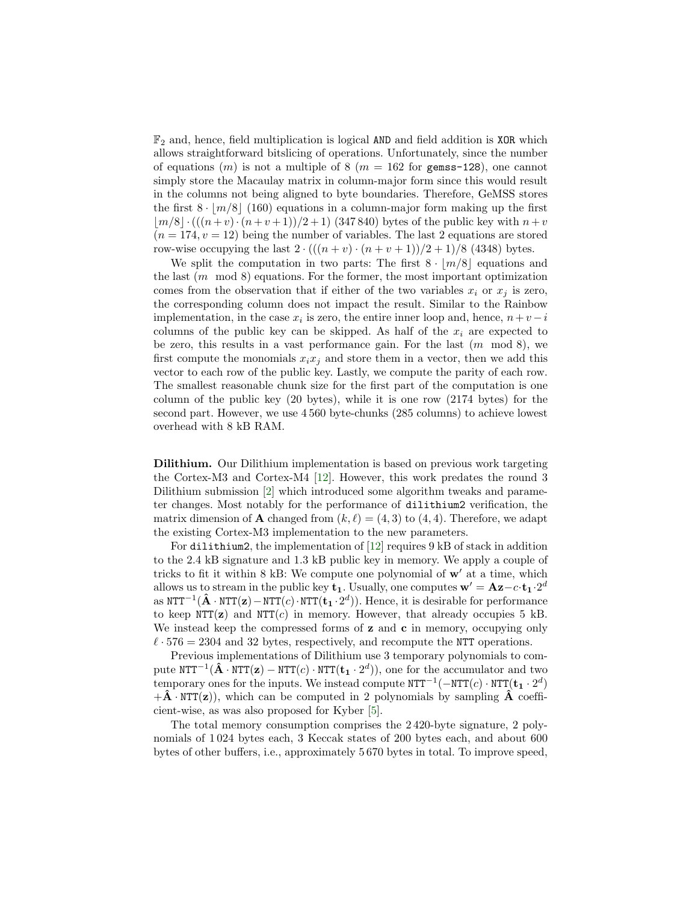$\mathbb{F}_2$  and, hence, field multiplication is logical AND and field addition is XOR which allows straightforward bitslicing of operations. Unfortunately, since the number of equations  $(m)$  is not a multiple of 8  $(m = 162$  for gemss-128), one cannot simply store the Macaulay matrix in column-major form since this would result in the columns not being aligned to byte boundaries. Therefore, GeMSS stores the first  $8 \cdot |m/8|$  (160) equations in a column-major form making up the first  $|m/8| \cdot ((n+v) \cdot (n+v+1))/2 + 1)$  (347 840) bytes of the public key with  $n+v$  $(n = 174, v = 12)$  being the number of variables. The last 2 equations are stored row-wise occupying the last  $2 \cdot (((n + v) \cdot (n + v + 1))/2 + 1)/8$  (4348) bytes.

We split the computation in two parts: The first  $8 \cdot |m/8|$  equations and the last  $(m \mod 8)$  equations. For the former, the most important optimization comes from the observation that if either of the two variables  $x_i$  or  $x_j$  is zero, the corresponding column does not impact the result. Similar to the Rainbow implementation, in the case  $x_i$  is zero, the entire inner loop and, hence,  $n+v-i$ columns of the public key can be skipped. As half of the  $x_i$  are expected to be zero, this results in a vast performance gain. For the last  $(m \mod 8)$ , we first compute the monomials  $x_ix_j$  and store them in a vector, then we add this vector to each row of the public key. Lastly, we compute the parity of each row. The smallest reasonable chunk size for the first part of the computation is one column of the public key (20 bytes), while it is one row (2174 bytes) for the second part. However, we use 4 560 byte-chunks (285 columns) to achieve lowest overhead with 8 kB RAM.

Dilithium. Our Dilithium implementation is based on previous work targeting the Cortex-M3 and Cortex-M4 [\[12\]](#page-13-14). However, this work predates the round 3 Dilithium submission [\[2\]](#page-12-4) which introduced some algorithm tweaks and parameter changes. Most notably for the performance of dilithium2 verification, the matrix dimension of **A** changed from  $(k, \ell) = (4, 3)$  to  $(4, 4)$ . Therefore, we adapt the existing Cortex-M3 implementation to the new parameters.

For dilithium2, the implementation of [\[12\]](#page-13-14) requires 9 kB of stack in addition to the 2.4 kB signature and 1.3 kB public key in memory. We apply a couple of tricks to fit it within  $8$  kB: We compute one polynomial of  $w'$  at a time, which allows us to stream in the public key  $\mathbf{t}_1$ . Usually, one computes  $\mathbf{w}' = \mathbf{A}\mathbf{z} - c \cdot \mathbf{t}_1 \cdot 2^d$ as  $\text{NTT}^{-1}(\hat{\mathbf{A}} \cdot \text{NTT}(\mathbf{z}) - \text{NTT}(c) \cdot \text{NTT}(\mathbf{t}_1 \cdot 2^d))$ . Hence, it is desirable for performance to keep  $NTT(z)$  and  $NTT(c)$  in memory. However, that already occupies 5 kB. We instead keep the compressed forms of  $z$  and  $c$  in memory, occupying only  $\ell \cdot 576 = 2304$  and 32 bytes, respectively, and recompute the NTT operations.

Previous implementations of Dilithium use 3 temporary polynomials to compute  $\text{NTT}^{-1}(\hat{\mathbf{A}} \cdot \text{NTT}(\mathbf{z}) - \text{NTT}(c) \cdot \text{NTT}(\mathbf{t}_1 \cdot 2^d))$ , one for the accumulator and two temporary ones for the inputs. We instead compute  $\texttt{NTT}^{-1}(-\texttt{NTT}(c) \cdot \texttt{NTT}(\mathbf{t}_1 \cdot 2^d))$  $+\hat{\mathbf{A}} \cdot \text{NTT}(\mathbf{z})$ , which can be computed in 2 polynomials by sampling  $\hat{\mathbf{A}}$  coefficient-wise, as was also proposed for Kyber [\[5\]](#page-12-5).

The total memory consumption comprises the 2 420-byte signature, 2 polynomials of 1 024 bytes each, 3 Keccak states of 200 bytes each, and about 600 bytes of other buffers, i.e., approximately 5 670 bytes in total. To improve speed,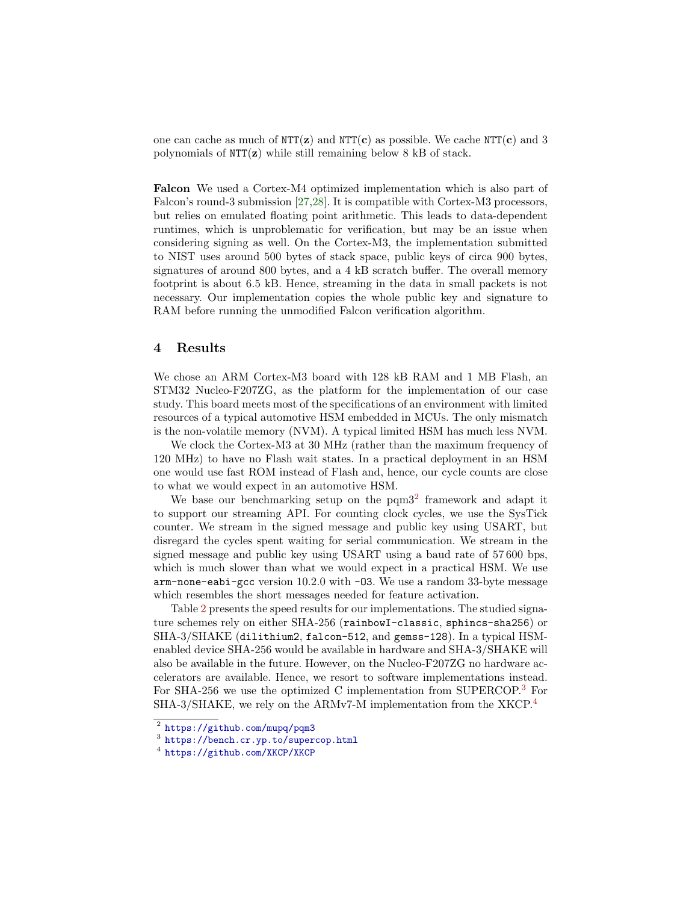one can cache as much of  $NTT(z)$  and  $NTT(c)$  as possible. We cache  $NTT(c)$  and 3 polynomials of NTT(z) while still remaining below 8 kB of stack.

Falcon We used a Cortex-M4 optimized implementation which is also part of Falcon's round-3 submission [\[27](#page-14-7)[,28\]](#page-14-6). It is compatible with Cortex-M3 processors, but relies on emulated floating point arithmetic. This leads to data-dependent runtimes, which is unproblematic for verification, but may be an issue when considering signing as well. On the Cortex-M3, the implementation submitted to NIST uses around 500 bytes of stack space, public keys of circa 900 bytes, signatures of around 800 bytes, and a 4 kB scratch buffer. The overall memory footprint is about 6.5 kB. Hence, streaming in the data in small packets is not necessary. Our implementation copies the whole public key and signature to RAM before running the unmodified Falcon verification algorithm.

#### 4 Results

We chose an ARM Cortex-M3 board with 128 kB RAM and 1 MB Flash, an STM32 Nucleo-F207ZG, as the platform for the implementation of our case study. This board meets most of the specifications of an environment with limited resources of a typical automotive HSM embedded in MCUs. The only mismatch is the non-volatile memory (NVM). A typical limited HSM has much less NVM.

We clock the Cortex-M3 at 30 MHz (rather than the maximum frequency of 120 MHz) to have no Flash wait states. In a practical deployment in an HSM one would use fast ROM instead of Flash and, hence, our cycle counts are close to what we would expect in an automotive HSM.

We base our benchmarking setup on the  $pqm3<sup>2</sup>$  $pqm3<sup>2</sup>$  $pqm3<sup>2</sup>$  framework and adapt it to support our streaming API. For counting clock cycles, we use the SysTick counter. We stream in the signed message and public key using USART, but disregard the cycles spent waiting for serial communication. We stream in the signed message and public key using USART using a baud rate of 57 600 bps, which is much slower than what we would expect in a practical HSM. We use arm-none-eabi-gcc version 10.2.0 with -O3. We use a random 33-byte message which resembles the short messages needed for feature activation.

Table [2](#page-11-0) presents the speed results for our implementations. The studied signature schemes rely on either SHA-256 (rainbowI-classic, sphincs-sha256) or SHA-3/SHAKE (dilithium2, falcon-512, and gemss-128). In a typical HSMenabled device SHA-256 would be available in hardware and SHA-3/SHAKE will also be available in the future. However, on the Nucleo-F207ZG no hardware accelerators are available. Hence, we resort to software implementations instead. For SHA-256 we use the optimized C implementation from SUPERCOP.[3](#page-10-1) For SHA-3/SHAKE, we rely on the ARMv7-M implementation from the XKCP.[4](#page-10-2)

<span id="page-10-0"></span> $^2$  <https://github.com/mupq/pqm3>

<span id="page-10-1"></span><sup>3</sup> <https://bench.cr.yp.to/supercop.html>

<span id="page-10-2"></span><sup>4</sup> <https://github.com/XKCP/XKCP>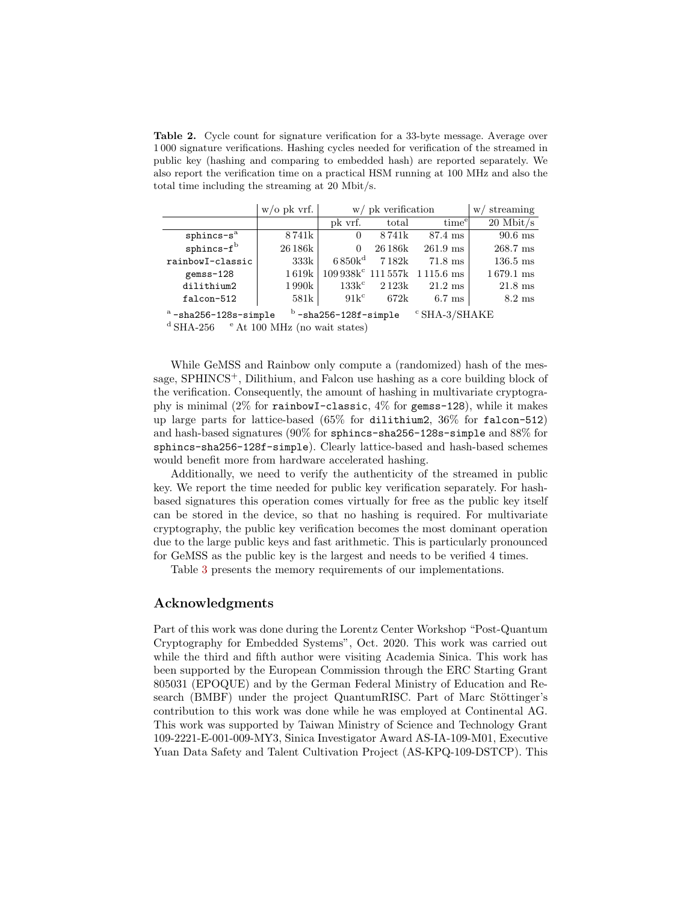<span id="page-11-0"></span>Table 2. Cycle count for signature verification for a 33-byte message. Average over 1 000 signature verifications. Hashing cycles needed for verification of the streamed in public key (hashing and comparing to embedded hash) are reported separately. We also report the verification time on a practical HSM running at 100 MHz and also the total time including the streaming at 20 Mbit/s.

|                                        | $w$ /0 pk vrf.     | $w/$ pk verification |         |                                              | streaming<br>W/     |
|----------------------------------------|--------------------|----------------------|---------|----------------------------------------------|---------------------|
|                                        |                    | pk vrf.              | total   | time <sup>e</sup>                            | $20$ Mbit/s         |
| $sphincs-sa$                           | 8741k              | $\theta$             | 8741k   | 87.4 ms                                      | $90.6$ ms           |
| $s$ phincs- $f^b$                      | 26 186k            | 0                    | 26 186k | $261.9$ ms                                   | $268.7$ ms          |
| rainbowI-classic                       | 333k               | $6.850k^d$           | 7182k   | 71.8 ms                                      | $136.5$ ms          |
| gemss-128                              | $1\,619\mathrm{k}$ |                      |         | $109\,938k^c$ 111557k 1115.6 ms              | $1679.1 \text{ ms}$ |
| dilithium2                             | 1 990k             | $133k^c$             | 2123k   | $21.2 \text{ ms}$                            | $21.8 \text{ ms}$   |
| falcon-512                             | 581k               | $91k^c$              | 672k    | $6.7 \text{ ms}$                             | $8.2 \text{ ms}$    |
| $a$ <sub>-cho</sub> $956-129a$ -cimple |                    |                      |         | $b$ -sha $256-129$ f-simple $CCHA$ $2/CHAKF$ |                     |

-sha256-128s-simple <sup>b</sup>  $-$ sha256-128f-simple  $\degree$ SHA-3/SHAKE

 $^{\rm d}$  SHA-256  $^{-}$   $^{\rm e}$  At 100 MHz (no wait states)

While GeMSS and Rainbow only compute a (randomized) hash of the message, SPHINCS+, Dilithium, and Falcon use hashing as a core building block of the verification. Consequently, the amount of hashing in multivariate cryptography is minimal  $(2\%$  for rainbowI-classic,  $4\%$  for gemss-128), while it makes up large parts for lattice-based (65% for dilithium2, 36% for falcon-512) and hash-based signatures (90% for sphincs-sha256-128s-simple and 88% for sphincs-sha256-128f-simple). Clearly lattice-based and hash-based schemes would benefit more from hardware accelerated hashing.

Additionally, we need to verify the authenticity of the streamed in public key. We report the time needed for public key verification separately. For hashbased signatures this operation comes virtually for free as the public key itself can be stored in the device, so that no hashing is required. For multivariate cryptography, the public key verification becomes the most dominant operation due to the large public keys and fast arithmetic. This is particularly pronounced for GeMSS as the public key is the largest and needs to be verified 4 times.

Table [3](#page-12-6) presents the memory requirements of our implementations.

### Acknowledgments

Part of this work was done during the Lorentz Center Workshop "Post-Quantum Cryptography for Embedded Systems", Oct. 2020. This work was carried out while the third and fifth author were visiting Academia Sinica. This work has been supported by the European Commission through the ERC Starting Grant 805031 (EPOQUE) and by the German Federal Ministry of Education and Research (BMBF) under the project QuantumRISC. Part of Marc Stöttinger's contribution to this work was done while he was employed at Continental AG. This work was supported by Taiwan Ministry of Science and Technology Grant 109-2221-E-001-009-MY3, Sinica Investigator Award AS-IA-109-M01, Executive Yuan Data Safety and Talent Cultivation Project (AS-KPQ-109-DSTCP). This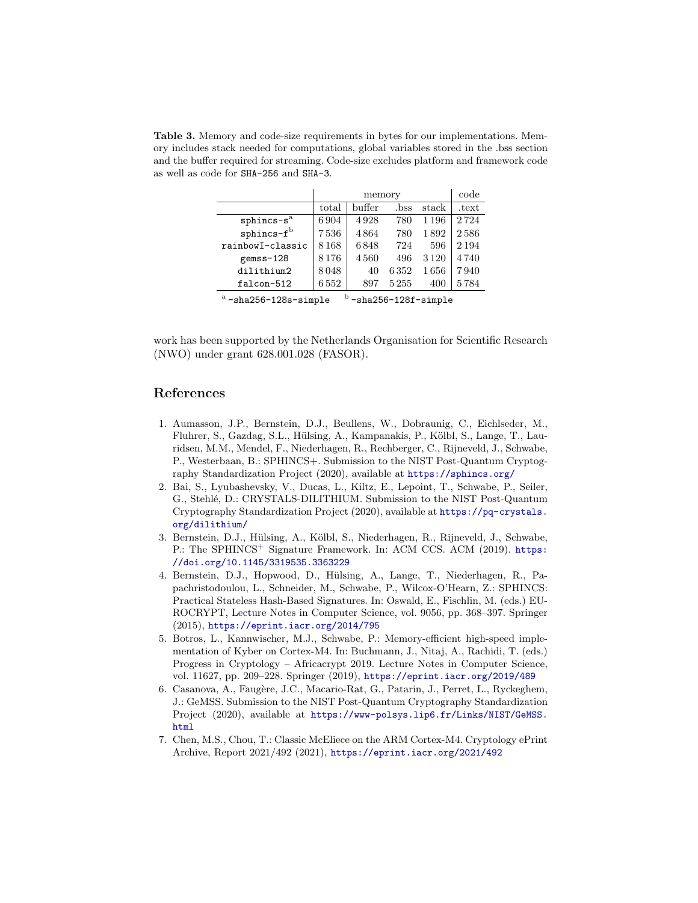<span id="page-12-6"></span>Table 3. Memory and code-size requirements in bytes for our implementations. Memory includes stack needed for computations, global variables stored in the .bss section and the buffer required for streaming. Code-size excludes platform and framework code as well as code for SHA-256 and SHA-3.

|                                                                       | memory |        |      |         | code    |
|-----------------------------------------------------------------------|--------|--------|------|---------|---------|
|                                                                       | total  | buffer | .bss | stack   | .text   |
| $sphincs-sa$                                                          | 6904   | 4928   | 780  | 1 1 9 6 | 2724    |
| $s$ phincs- $fb$                                                      | 7536   | 4864   | 780  | 1892    | 2586    |
| rainbowI-classic                                                      | 8168   | 6848   | 724  | 596     | 2 1 9 4 |
| gemss-128                                                             | 8176   | 4560   | 496  | 3 1 2 0 | 4740    |
| dilithium2                                                            | 8048   | 40     | 6352 | 1656    | 7940    |
| falcon-512                                                            | 6552   | 897    | 5255 | 400     | 5784    |
| $b$ -cha $256-128f$ -cimplo<br>$a$ <sub>-chn</sub> $956-199a$ -cimple |        |        |      |         |         |

-sha256-128s-simple <sup>b</sup> -sha256-128f-simple

work has been supported by the Netherlands Organisation for Scientific Research (NWO) under grant 628.001.028 (FASOR).

## References

- <span id="page-12-2"></span>1. Aumasson, J.P., Bernstein, D.J., Beullens, W., Dobraunig, C., Eichlseder, M., Fluhrer, S., Gazdag, S.L., Hülsing, A., Kampanakis, P., Kölbl, S., Lange, T., Lauridsen, M.M., Mendel, F., Niederhagen, R., Rechberger, C., Rijneveld, J., Schwabe, P., Westerbaan, B.: SPHINCS+. Submission to the NIST Post-Quantum Cryptography Standardization Project (2020), available at <https://sphincs.org/>
- <span id="page-12-4"></span>2. Bai, S., Lyubashevsky, V., Ducas, L., Kiltz, E., Lepoint, T., Schwabe, P., Seiler, G., Stehl´e, D.: CRYSTALS-DILITHIUM. Submission to the NIST Post-Quantum Cryptography Standardization Project (2020), available at [https://pq-crystals.](https://pq-crystals.org/dilithium/) [org/dilithium/](https://pq-crystals.org/dilithium/)
- <span id="page-12-1"></span>3. Bernstein, D.J., Hülsing, A., Kölbl, S., Niederhagen, R., Rijneveld, J., Schwabe, P.: The SPHINCS<sup>+</sup> Signature Framework. In: ACM CCS. ACM (2019). [https:](https://doi.org/10.1145/3319535.3363229) [//doi.org/10.1145/3319535.3363229](https://doi.org/10.1145/3319535.3363229)
- <span id="page-12-7"></span>4. Bernstein, D.J., Hopwood, D., Hülsing, A., Lange, T., Niederhagen, R., Papachristodoulou, L., Schneider, M., Schwabe, P., Wilcox-O'Hearn, Z.: SPHINCS: Practical Stateless Hash-Based Signatures. In: Oswald, E., Fischlin, M. (eds.) EU-ROCRYPT, Lecture Notes in Computer Science, vol. 9056, pp. 368–397. Springer (2015), <https://eprint.iacr.org/2014/795>
- <span id="page-12-5"></span>5. Botros, L., Kannwischer, M.J., Schwabe, P.: Memory-efficient high-speed implementation of Kyber on Cortex-M4. In: Buchmann, J., Nitaj, A., Rachidi, T. (eds.) Progress in Cryptology – Africacrypt 2019. Lecture Notes in Computer Science, vol. 11627, pp. 209–228. Springer (2019), <https://eprint.iacr.org/2019/489>
- <span id="page-12-3"></span>6. Casanova, A., Faugère, J.C., Macario-Rat, G., Patarin, J., Perret, L., Ryckeghem, J.: GeMSS. Submission to the NIST Post-Quantum Cryptography Standardization Project (2020), available at [https://www-polsys.lip6.fr/Links/NIST/GeMSS.](https://www-polsys.lip6.fr/Links/NIST/GeMSS.html) [html](https://www-polsys.lip6.fr/Links/NIST/GeMSS.html)
- <span id="page-12-0"></span>7. Chen, M.S., Chou, T.: Classic McEliece on the ARM Cortex-M4. Cryptology ePrint Archive, Report 2021/492 (2021), <https://eprint.iacr.org/2021/492>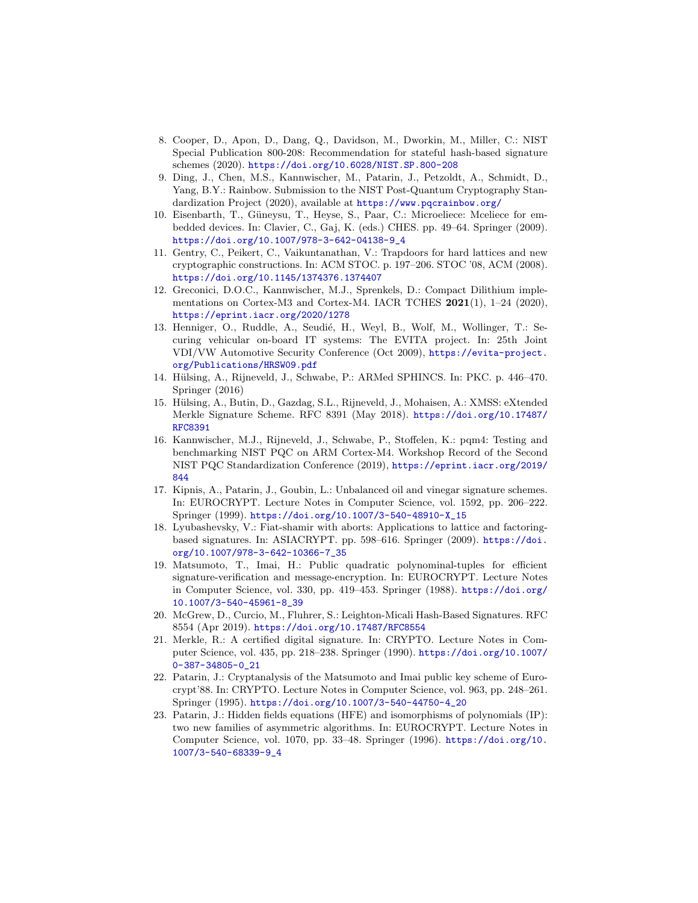- <span id="page-13-5"></span>8. Cooper, D., Apon, D., Dang, Q., Davidson, M., Dworkin, M., Miller, C.: NIST Special Publication 800-208: Recommendation for stateful hash-based signature schemes (2020). <https://doi.org/10.6028/NIST.SP.800-208>
- <span id="page-13-10"></span>9. Ding, J., Chen, M.S., Kannwischer, M., Patarin, J., Petzoldt, A., Schmidt, D., Yang, B.Y.: Rainbow. Submission to the NIST Post-Quantum Cryptography Standardization Project (2020), available at <https://www.pqcrainbow.org/>
- <span id="page-13-2"></span>10. Eisenbarth, T., Güneysu, T., Heyse, S., Paar, C.: Microeliece: Mceliece for embedded devices. In: Clavier, C., Gaj, K. (eds.) CHES. pp. 49–64. Springer (2009). [https://doi.org/10.1007/978-3-642-04138-9\\_4](https://doi.org/10.1007/978-3-642-04138-9_4)
- <span id="page-13-11"></span>11. Gentry, C., Peikert, C., Vaikuntanathan, V.: Trapdoors for hard lattices and new cryptographic constructions. In: ACM STOC. p. 197–206. STOC '08, ACM (2008). <https://doi.org/10.1145/1374376.1374407>
- <span id="page-13-14"></span>12. Greconici, D.O.C., Kannwischer, M.J., Sprenkels, D.: Compact Dilithium implementations on Cortex-M3 and Cortex-M4. IACR TCHES  $2021(1)$ , 1–24 (2020), <https://eprint.iacr.org/2020/1278>
- <span id="page-13-0"></span>13. Henniger, O., Ruddle, A., Seudié, H., Weyl, B., Wolf, M., Wollinger, T.: Securing vehicular on-board IT systems: The EVITA project. In: 25th Joint VDI/VW Automotive Security Conference (Oct 2009), [https://evita-project.](https://evita-project.org/Publications/HRSW09.pdf) [org/Publications/HRSW09.pdf](https://evita-project.org/Publications/HRSW09.pdf)
- <span id="page-13-1"></span>14. Hülsing, A., Rijneveld, J., Schwabe, P.: ARMed SPHINCS. In: PKC. p. 446-470. Springer (2016)
- <span id="page-13-4"></span>15. H¨ulsing, A., Butin, D., Gazdag, S.L., Rijneveld, J., Mohaisen, A.: XMSS: eXtended Merkle Signature Scheme. RFC 8391 (May 2018). [https://doi.org/10.17487/](https://doi.org/10.17487/RFC8391) [RFC8391](https://doi.org/10.17487/RFC8391)
- <span id="page-13-13"></span>16. Kannwischer, M.J., Rijneveld, J., Schwabe, P., Stoffelen, K.: pqm4: Testing and benchmarking NIST PQC on ARM Cortex-M4. Workshop Record of the Second NIST PQC Standardization Conference (2019), [https://eprint.iacr.org/2019/](https://eprint.iacr.org/2019/844) [844](https://eprint.iacr.org/2019/844)
- <span id="page-13-9"></span>17. Kipnis, A., Patarin, J., Goubin, L.: Unbalanced oil and vinegar signature schemes. In: EUROCRYPT. Lecture Notes in Computer Science, vol. 1592, pp. 206–222. Springer (1999). [https://doi.org/10.1007/3-540-48910-X\\_15](https://doi.org/10.1007/3-540-48910-X_15)
- <span id="page-13-12"></span>18. Lyubashevsky, V.: Fiat-shamir with aborts: Applications to lattice and factoringbased signatures. In: ASIACRYPT. pp. 598–616. Springer (2009). [https://doi.](https://doi.org/10.1007/978-3-642-10366-7_35) [org/10.1007/978-3-642-10366-7\\_35](https://doi.org/10.1007/978-3-642-10366-7_35)
- <span id="page-13-6"></span>19. Matsumoto, T., Imai, H.: Public quadratic polynominal-tuples for efficient signature-verification and message-encryption. In: EUROCRYPT. Lecture Notes in Computer Science, vol. 330, pp. 419–453. Springer (1988). [https://doi.org/](https://doi.org/10.1007/3-540-45961-8_39) [10.1007/3-540-45961-8\\_39](https://doi.org/10.1007/3-540-45961-8_39)
- <span id="page-13-3"></span>20. McGrew, D., Curcio, M., Fluhrer, S.: Leighton-Micali Hash-Based Signatures. RFC 8554 (Apr 2019). <https://doi.org/10.17487/RFC8554>
- <span id="page-13-15"></span>21. Merkle, R.: A certified digital signature. In: CRYPTO. Lecture Notes in Computer Science, vol. 435, pp. 218–238. Springer (1990). [https://doi.org/10.1007/](https://doi.org/10.1007/0-387-34805-0_21) [0-387-34805-0\\_21](https://doi.org/10.1007/0-387-34805-0_21)
- <span id="page-13-7"></span>22. Patarin, J.: Cryptanalysis of the Matsumoto and Imai public key scheme of Eurocrypt'88. In: CRYPTO. Lecture Notes in Computer Science, vol. 963, pp. 248–261. Springer (1995). [https://doi.org/10.1007/3-540-44750-4\\_20](https://doi.org/10.1007/3-540-44750-4_20)
- <span id="page-13-8"></span>23. Patarin, J.: Hidden fields equations (HFE) and isomorphisms of polynomials (IP): two new families of asymmetric algorithms. In: EUROCRYPT. Lecture Notes in Computer Science, vol. 1070, pp. 33–48. Springer (1996). [https://doi.org/10.](https://doi.org/10.1007/3-540-68339-9_4) [1007/3-540-68339-9\\_4](https://doi.org/10.1007/3-540-68339-9_4)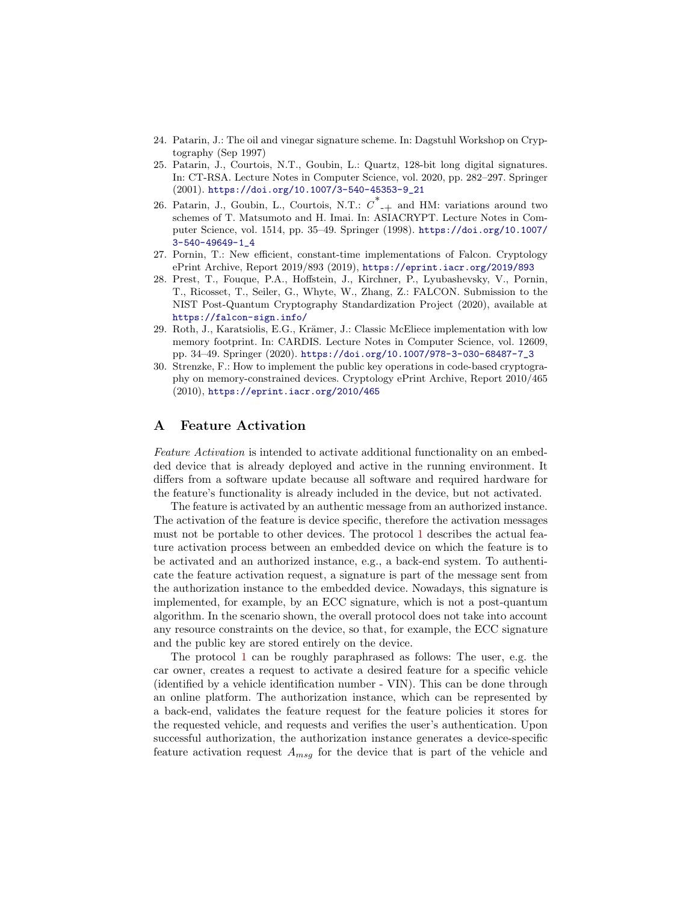- <span id="page-14-4"></span>24. Patarin, J.: The oil and vinegar signature scheme. In: Dagstuhl Workshop on Cryptography (Sep 1997)
- <span id="page-14-5"></span>25. Patarin, J., Courtois, N.T., Goubin, L.: Quartz, 128-bit long digital signatures. In: CT-RSA. Lecture Notes in Computer Science, vol. 2020, pp. 282–297. Springer (2001). [https://doi.org/10.1007/3-540-45353-9\\_21](https://doi.org/10.1007/3-540-45353-9_21)
- <span id="page-14-3"></span>26. Patarin, J., Goubin, L., Courtois, N.T.:  $\overline{C}^*$ <sub>-+</sub> and HM: variations around two schemes of T. Matsumoto and H. Imai. In: ASIACRYPT. Lecture Notes in Computer Science, vol. 1514, pp. 35–49. Springer (1998). [https://doi.org/10.1007/](https://doi.org/10.1007/3-540-49649-1_4) [3-540-49649-1\\_4](https://doi.org/10.1007/3-540-49649-1_4)
- <span id="page-14-7"></span>27. Pornin, T.: New efficient, constant-time implementations of Falcon. Cryptology ePrint Archive, Report 2019/893 (2019), <https://eprint.iacr.org/2019/893>
- <span id="page-14-6"></span>28. Prest, T., Fouque, P.A., Hoffstein, J., Kirchner, P., Lyubashevsky, V., Pornin, T., Ricosset, T., Seiler, G., Whyte, W., Zhang, Z.: FALCON. Submission to the NIST Post-Quantum Cryptography Standardization Project (2020), available at <https://falcon-sign.info/>
- <span id="page-14-1"></span>29. Roth, J., Karatsiolis, E.G., Krämer, J.: Classic McEliece implementation with low memory footprint. In: CARDIS. Lecture Notes in Computer Science, vol. 12609, pp. 34–49. Springer (2020). [https://doi.org/10.1007/978-3-030-68487-7\\_3](https://doi.org/10.1007/978-3-030-68487-7_3)
- <span id="page-14-2"></span>30. Strenzke, F.: How to implement the public key operations in code-based cryptography on memory-constrained devices. Cryptology ePrint Archive, Report 2010/465 (2010), <https://eprint.iacr.org/2010/465>

## <span id="page-14-0"></span>A Feature Activation

Feature Activation is intended to activate additional functionality on an embedded device that is already deployed and active in the running environment. It differs from a software update because all software and required hardware for the feature's functionality is already included in the device, but not activated.

The feature is activated by an authentic message from an authorized instance. The activation of the feature is device specific, therefore the activation messages must not be portable to other devices. The protocol [1](#page-15-1) describes the actual feature activation process between an embedded device on which the feature is to be activated and an authorized instance, e.g., a back-end system. To authenticate the feature activation request, a signature is part of the message sent from the authorization instance to the embedded device. Nowadays, this signature is implemented, for example, by an ECC signature, which is not a post-quantum algorithm. In the scenario shown, the overall protocol does not take into account any resource constraints on the device, so that, for example, the ECC signature and the public key are stored entirely on the device.

The protocol [1](#page-15-1) can be roughly paraphrased as follows: The user, e.g. the car owner, creates a request to activate a desired feature for a specific vehicle (identified by a vehicle identification number - VIN). This can be done through an online platform. The authorization instance, which can be represented by a back-end, validates the feature request for the feature policies it stores for the requested vehicle, and requests and verifies the user's authentication. Upon successful authorization, the authorization instance generates a device-specific feature activation request  $A_{msg}$  for the device that is part of the vehicle and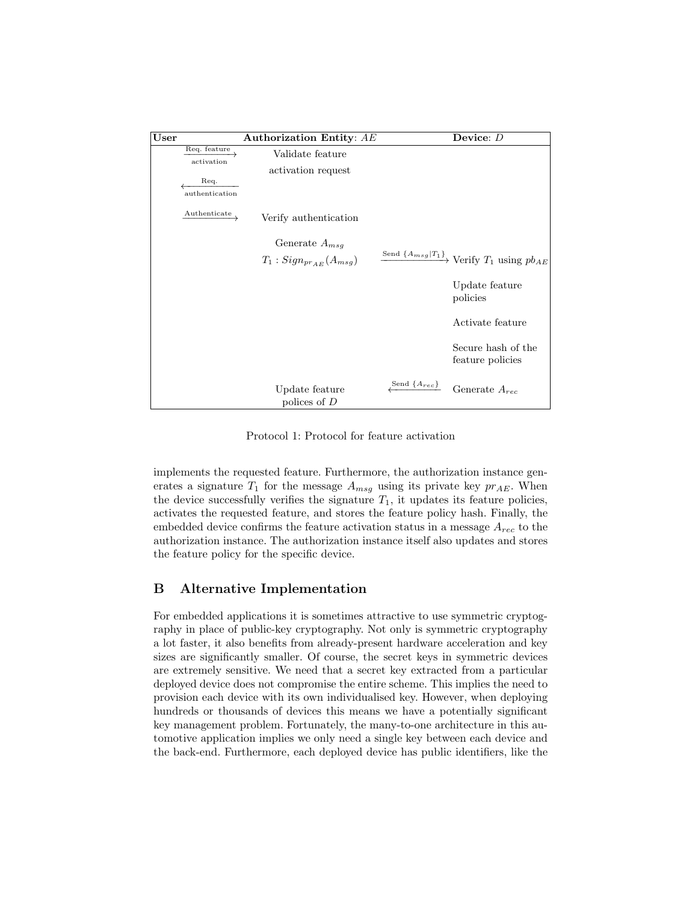<span id="page-15-1"></span>

| User |                            | Authorization Entity: AE          |                    | Device: $D$                                                               |
|------|----------------------------|-----------------------------------|--------------------|---------------------------------------------------------------------------|
|      | Req. feature<br>activation | Validate feature                  |                    |                                                                           |
|      |                            | activation request                |                    |                                                                           |
|      | Req.                       |                                   |                    |                                                                           |
|      | authentication             |                                   |                    |                                                                           |
|      | Authenticate               | Verify authentication             |                    |                                                                           |
|      |                            | Generate $A_{msg}$                |                    |                                                                           |
|      |                            | $T_1$ : $Sign_{pr_{AE}}(A_{msg})$ |                    | $\xrightarrow{\text{Send } \{A_{msg} T_1\}}$ Verify $T_1$ using $pb_{AE}$ |
|      |                            |                                   |                    | Update feature<br>policies                                                |
|      |                            |                                   |                    | Activate feature                                                          |
|      |                            |                                   |                    | Secure hash of the<br>feature policies                                    |
|      |                            | Update feature<br>polices of $D$  | Send $\{A_{rec}\}$ | Generate $A_{rec}$                                                        |

Protocol 1: Protocol for feature activation

implements the requested feature. Furthermore, the authorization instance generates a signature  $T_1$  for the message  $A_{msg}$  using its private key  $pr_{AE}$ . When the device successfully verifies the signature  $T_1$ , it updates its feature policies, activates the requested feature, and stores the feature policy hash. Finally, the embedded device confirms the feature activation status in a message  $A_{rec}$  to the authorization instance. The authorization instance itself also updates and stores the feature policy for the specific device.

## <span id="page-15-0"></span>B Alternative Implementation

For embedded applications it is sometimes attractive to use symmetric cryptography in place of public-key cryptography. Not only is symmetric cryptography a lot faster, it also benefits from already-present hardware acceleration and key sizes are significantly smaller. Of course, the secret keys in symmetric devices are extremely sensitive. We need that a secret key extracted from a particular deployed device does not compromise the entire scheme. This implies the need to provision each device with its own individualised key. However, when deploying hundreds or thousands of devices this means we have a potentially significant key management problem. Fortunately, the many-to-one architecture in this automotive application implies we only need a single key between each device and the back-end. Furthermore, each deployed device has public identifiers, like the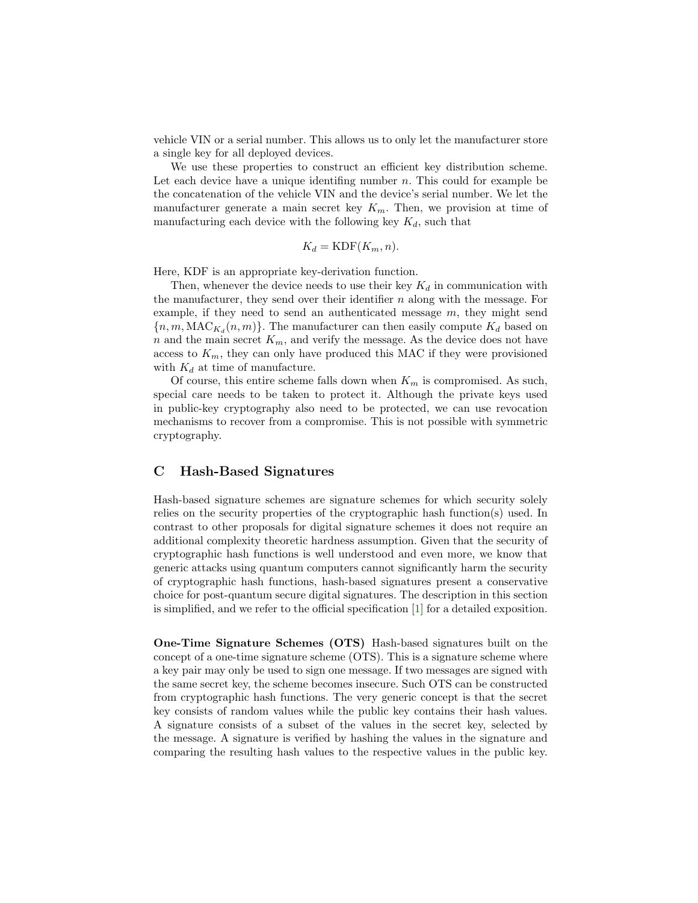vehicle VIN or a serial number. This allows us to only let the manufacturer store a single key for all deployed devices.

We use these properties to construct an efficient key distribution scheme. Let each device have a unique identifing number  $n$ . This could for example be the concatenation of the vehicle VIN and the device's serial number. We let the manufacturer generate a main secret key  $K_m$ . Then, we provision at time of manufacturing each device with the following key  $K_d$ , such that

$$
K_d = \text{KDF}(K_m, n).
$$

Here, KDF is an appropriate key-derivation function.

Then, whenever the device needs to use their key  $K_d$  in communication with the manufacturer, they send over their identifier  $n$  along with the message. For example, if they need to send an authenticated message  $m$ , they might send  ${n, m, \text{MAC}_{K_d}(n, m)}$ . The manufacturer can then easily compute  $K_d$  based on n and the main secret  $K_m$ , and verify the message. As the device does not have access to  $K_m$ , they can only have produced this MAC if they were provisioned with  $K_d$  at time of manufacture.

Of course, this entire scheme falls down when  $K_m$  is compromised. As such, special care needs to be taken to protect it. Although the private keys used in public-key cryptography also need to be protected, we can use revocation mechanisms to recover from a compromise. This is not possible with symmetric cryptography.

## <span id="page-16-0"></span>C Hash-Based Signatures

Hash-based signature schemes are signature schemes for which security solely relies on the security properties of the cryptographic hash function(s) used. In contrast to other proposals for digital signature schemes it does not require an additional complexity theoretic hardness assumption. Given that the security of cryptographic hash functions is well understood and even more, we know that generic attacks using quantum computers cannot significantly harm the security of cryptographic hash functions, hash-based signatures present a conservative choice for post-quantum secure digital signatures. The description in this section is simplified, and we refer to the official specification [\[1\]](#page-12-2) for a detailed exposition.

One-Time Signature Schemes (OTS) Hash-based signatures built on the concept of a one-time signature scheme (OTS). This is a signature scheme where a key pair may only be used to sign one message. If two messages are signed with the same secret key, the scheme becomes insecure. Such OTS can be constructed from cryptographic hash functions. The very generic concept is that the secret key consists of random values while the public key contains their hash values. A signature consists of a subset of the values in the secret key, selected by the message. A signature is verified by hashing the values in the signature and comparing the resulting hash values to the respective values in the public key.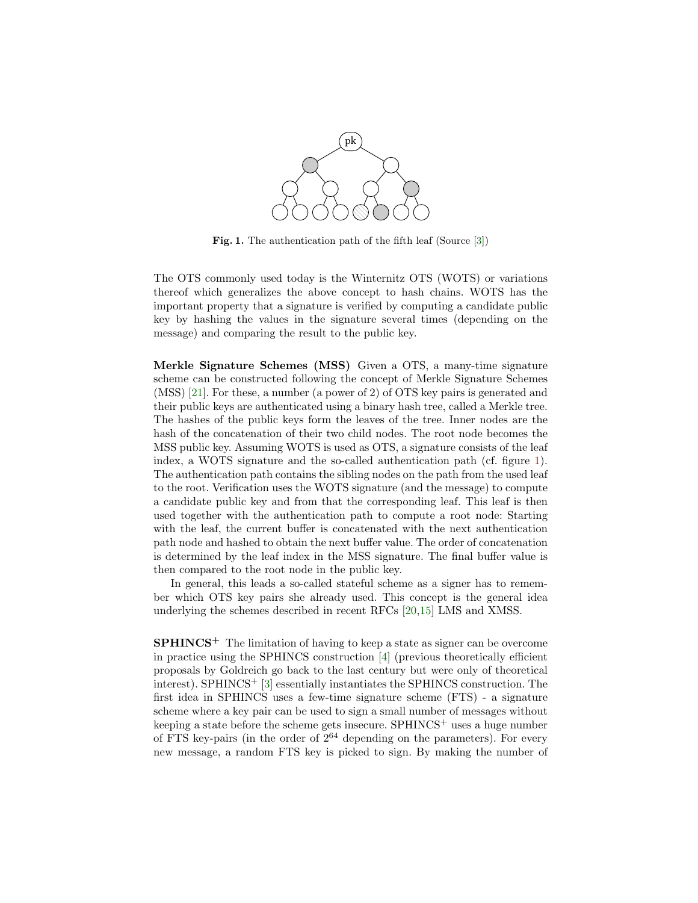

<span id="page-17-0"></span>Fig. 1. The authentication path of the fifth leaf (Source [\[3\]](#page-12-1))

The OTS commonly used today is the Winternitz OTS (WOTS) or variations thereof which generalizes the above concept to hash chains. WOTS has the important property that a signature is verified by computing a candidate public key by hashing the values in the signature several times (depending on the message) and comparing the result to the public key.

Merkle Signature Schemes (MSS) Given a OTS, a many-time signature scheme can be constructed following the concept of Merkle Signature Schemes (MSS) [\[21\]](#page-13-15). For these, a number (a power of 2) of OTS key pairs is generated and their public keys are authenticated using a binary hash tree, called a Merkle tree. The hashes of the public keys form the leaves of the tree. Inner nodes are the hash of the concatenation of their two child nodes. The root node becomes the MSS public key. Assuming WOTS is used as OTS, a signature consists of the leaf index, a WOTS signature and the so-called authentication path (cf. figure [1\)](#page-17-0). The authentication path contains the sibling nodes on the path from the used leaf to the root. Verification uses the WOTS signature (and the message) to compute a candidate public key and from that the corresponding leaf. This leaf is then used together with the authentication path to compute a root node: Starting with the leaf, the current buffer is concatenated with the next authentication path node and hashed to obtain the next buffer value. The order of concatenation is determined by the leaf index in the MSS signature. The final buffer value is then compared to the root node in the public key.

In general, this leads a so-called stateful scheme as a signer has to remember which OTS key pairs she already used. This concept is the general idea underlying the schemes described in recent RFCs [\[20,](#page-13-3)[15\]](#page-13-4) LMS and XMSS.

 $SPHINCS<sup>+</sup>$  The limitation of having to keep a state as signer can be overcome in practice using the SPHINCS construction [\[4\]](#page-12-7) (previous theoretically efficient proposals by Goldreich go back to the last century but were only of theoretical interest). SPHINCS<sup>+</sup> [\[3\]](#page-12-1) essentially instantiates the SPHINCS construction. The first idea in SPHINCS uses a few-time signature scheme (FTS) - a signature scheme where a key pair can be used to sign a small number of messages without keeping a state before the scheme gets insecure.  $SPHINCS<sup>+</sup>$  uses a huge number of FTS key-pairs (in the order of  $2^{64}$  depending on the parameters). For every new message, a random FTS key is picked to sign. By making the number of